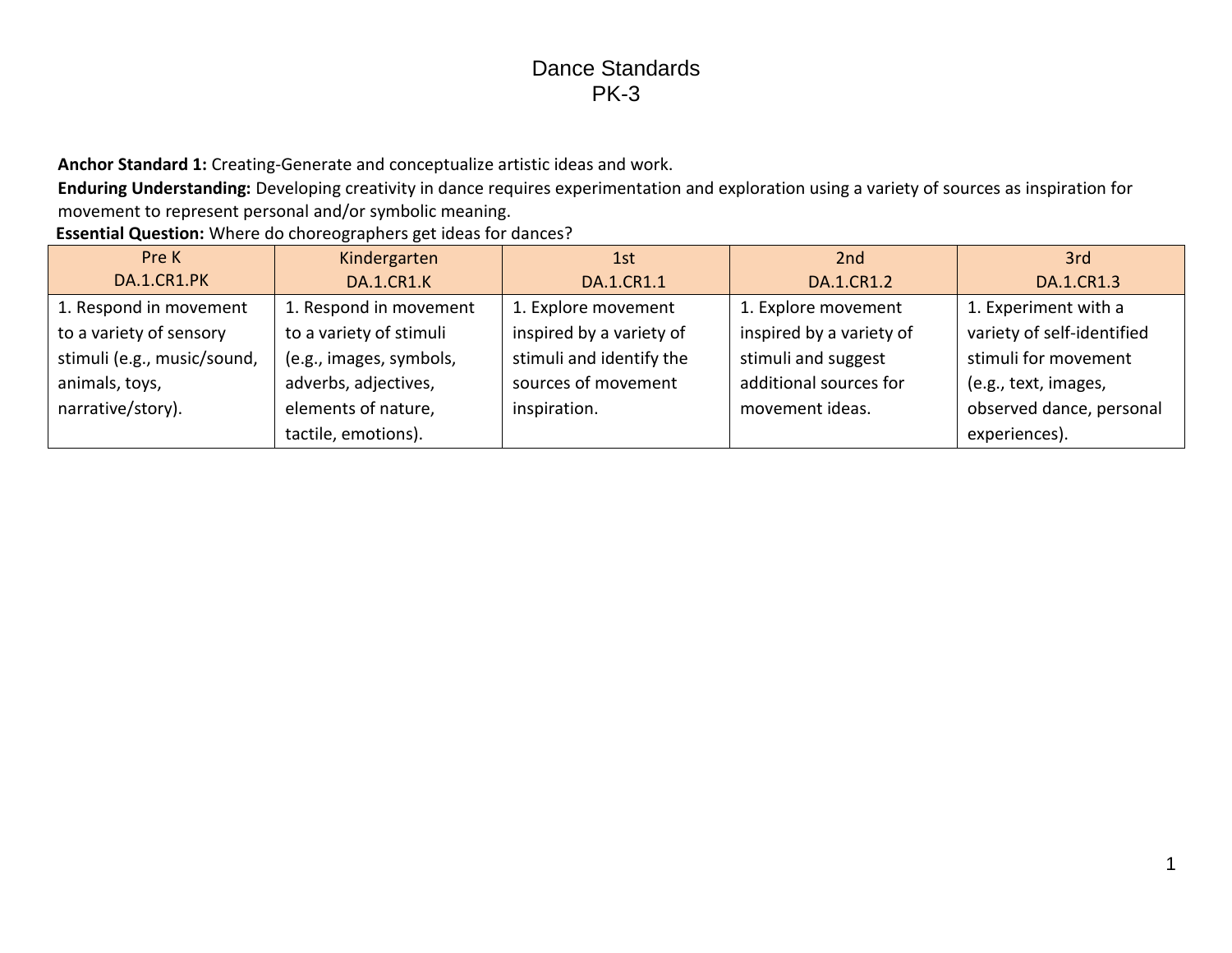**Anchor Standard 1:** Creating-Generate and conceptualize artistic ideas and work.

**Enduring Understanding:** Developing creativity in dance requires experimentation and exploration using a variety of sources as inspiration for movement to represent personal and/or symbolic meaning.

**Essential Question:** Where do choreographers get ideas for dances?

| Pre K                       | Kindergarten            | 1st                      | 2 <sub>nd</sub>          | 3rd                        |
|-----------------------------|-------------------------|--------------------------|--------------------------|----------------------------|
| DA.1.CR1.PK                 | <b>DA.1.CR1.K</b>       | DA.1.CR1.1               | DA.1.CR1.2               | DA.1.CR1.3                 |
| 1. Respond in movement      | 1. Respond in movement  | 1. Explore movement      | 1. Explore movement      | 1. Experiment with a       |
| to a variety of sensory     | to a variety of stimuli | inspired by a variety of | inspired by a variety of | variety of self-identified |
| stimuli (e.g., music/sound, | (e.g., images, symbols, | stimuli and identify the | stimuli and suggest      | stimuli for movement       |
| animals, toys,              | adverbs, adjectives,    | sources of movement      | additional sources for   | (e.g., text, images,       |
| narrative/story).           | elements of nature,     | inspiration.             | movement ideas.          | observed dance, personal   |
|                             | tactile, emotions).     |                          |                          | experiences).              |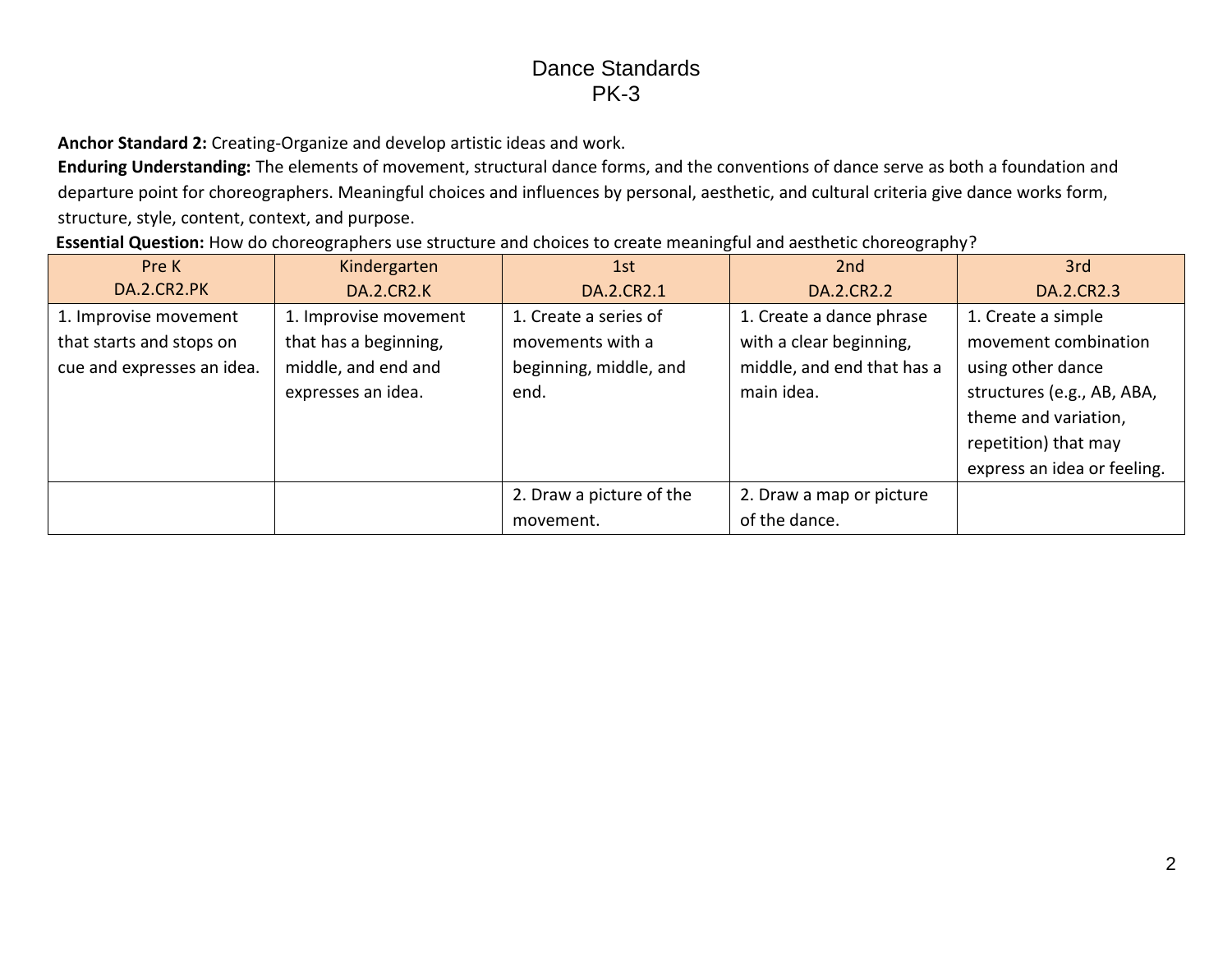**Anchor Standard 2:** Creating-Organize and develop artistic ideas and work.

**Enduring Understanding:** The elements of movement, structural dance forms, and the conventions of dance serve as both a foundation and departure point for choreographers. Meaningful choices and influences by personal, aesthetic, and cultural criteria give dance works form, structure, style, content, context, and purpose.

**Essential Question:** How do choreographers use structure and choices to create meaningful and aesthetic choreography?

| Pre K                      | Kindergarten          | 1st                      | 2nd                        | 3rd                         |
|----------------------------|-----------------------|--------------------------|----------------------------|-----------------------------|
| DA.2.CR2.PK                | <b>DA.2.CR2.K</b>     | DA.2.CR2.1               | DA.2.CR2.2                 | DA.2.CR2.3                  |
| 1. Improvise movement      | 1. Improvise movement | 1. Create a series of    | 1. Create a dance phrase   | 1. Create a simple          |
| that starts and stops on   | that has a beginning, | movements with a         | with a clear beginning,    | movement combination        |
| cue and expresses an idea. | middle, and end and   | beginning, middle, and   | middle, and end that has a | using other dance           |
|                            | expresses an idea.    | end.                     | main idea.                 | structures (e.g., AB, ABA,  |
|                            |                       |                          |                            | theme and variation,        |
|                            |                       |                          |                            | repetition) that may        |
|                            |                       |                          |                            | express an idea or feeling. |
|                            |                       | 2. Draw a picture of the | 2. Draw a map or picture   |                             |
|                            |                       | movement.                | of the dance.              |                             |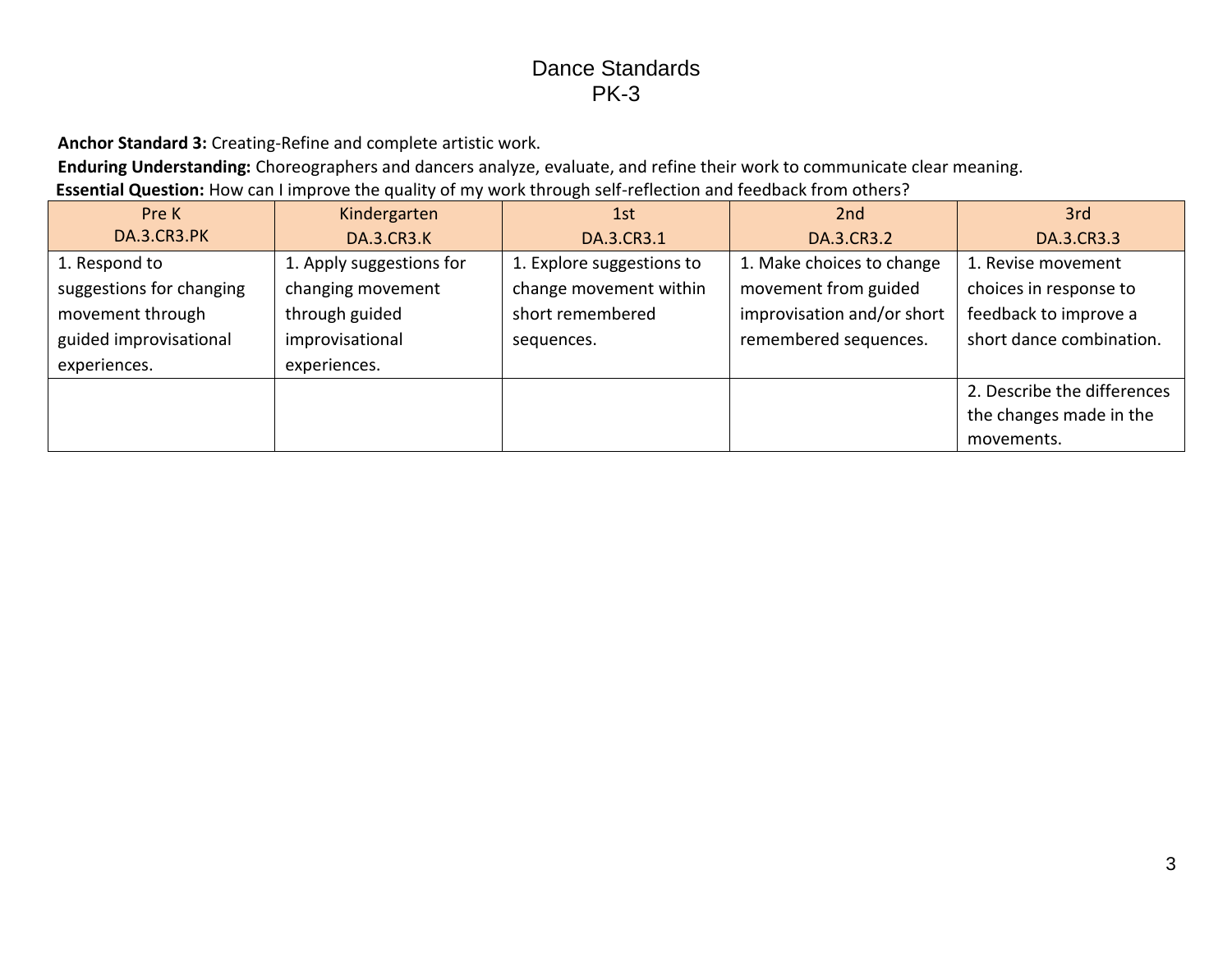**Anchor Standard 3:** Creating-Refine and complete artistic work.

**Enduring Understanding:** Choreographers and dancers analyze, evaluate, and refine their work to communicate clear meaning.

**Essential Question:** How can I improve the quality of my work through self-reflection and feedback from others?

| Pre K                    | Kindergarten             | 1st                       | 2nd                        | 3rd                         |
|--------------------------|--------------------------|---------------------------|----------------------------|-----------------------------|
| DA.3.CR3.PK              | <b>DA.3.CR3.K</b>        | DA.3.CR3.1                | DA.3.CR3.2                 | DA.3.CR3.3                  |
| 1. Respond to            | 1. Apply suggestions for | 1. Explore suggestions to | 1. Make choices to change  | 1. Revise movement          |
| suggestions for changing | changing movement        | change movement within    | movement from guided       | choices in response to      |
| movement through         | through guided           | short remembered          | improvisation and/or short | feedback to improve a       |
| guided improvisational   | improvisational          | sequences.                | remembered sequences.      | short dance combination.    |
| experiences.             | experiences.             |                           |                            |                             |
|                          |                          |                           |                            | 2. Describe the differences |
|                          |                          |                           |                            | the changes made in the     |
|                          |                          |                           |                            | movements.                  |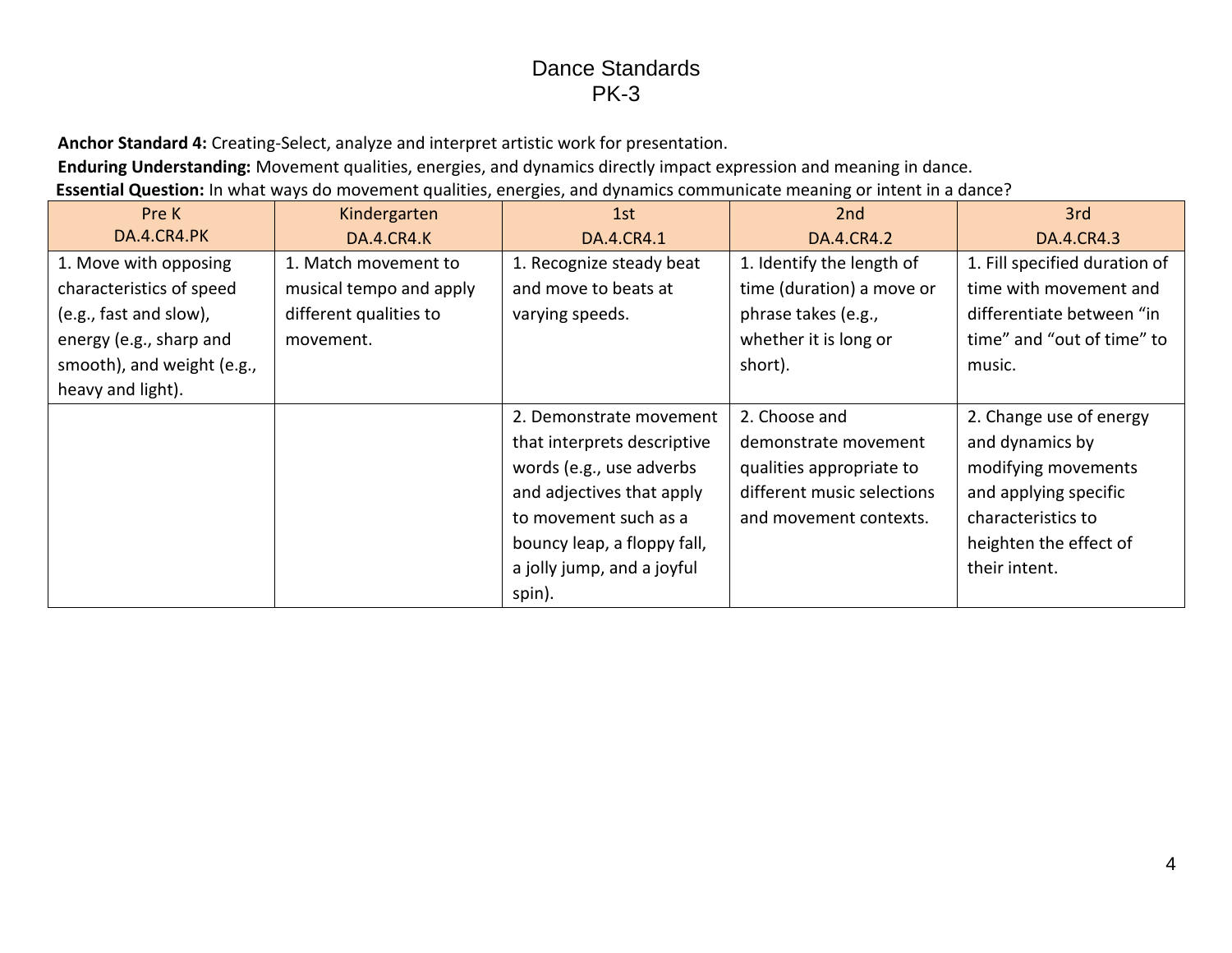**Anchor Standard 4:** Creating-Select, analyze and interpret artistic work for presentation.

**Enduring Understanding:** Movement qualities, energies, and dynamics directly impact expression and meaning in dance.

**Essential Question:** In what ways do movement qualities, energies, and dynamics communicate meaning or intent in a dance?

| Pre K                      | Kindergarten            | 1st                         | 2nd                        | 3rd                           |
|----------------------------|-------------------------|-----------------------------|----------------------------|-------------------------------|
| DA.4.CR4.PK                | <b>DA.4.CR4.K</b>       | DA.4.CR4.1                  | DA.4.CR4.2                 | DA.4.CR4.3                    |
| 1. Move with opposing      | 1. Match movement to    | 1. Recognize steady beat    | 1. Identify the length of  | 1. Fill specified duration of |
| characteristics of speed   | musical tempo and apply | and move to beats at        | time (duration) a move or  | time with movement and        |
| (e.g., fast and slow),     | different qualities to  | varying speeds.             | phrase takes (e.g.,        | differentiate between "in     |
| energy (e.g., sharp and    | movement.               |                             | whether it is long or      | time" and "out of time" to    |
| smooth), and weight (e.g., |                         |                             | short).                    | music.                        |
| heavy and light).          |                         |                             |                            |                               |
|                            |                         | 2. Demonstrate movement     | 2. Choose and              | 2. Change use of energy       |
|                            |                         | that interprets descriptive | demonstrate movement       | and dynamics by               |
|                            |                         | words (e.g., use adverbs    | qualities appropriate to   | modifying movements           |
|                            |                         | and adjectives that apply   | different music selections | and applying specific         |
|                            |                         | to movement such as a       | and movement contexts.     | characteristics to            |
|                            |                         | bouncy leap, a floppy fall, |                            | heighten the effect of        |
|                            |                         | a jolly jump, and a joyful  |                            | their intent.                 |
|                            |                         | spin).                      |                            |                               |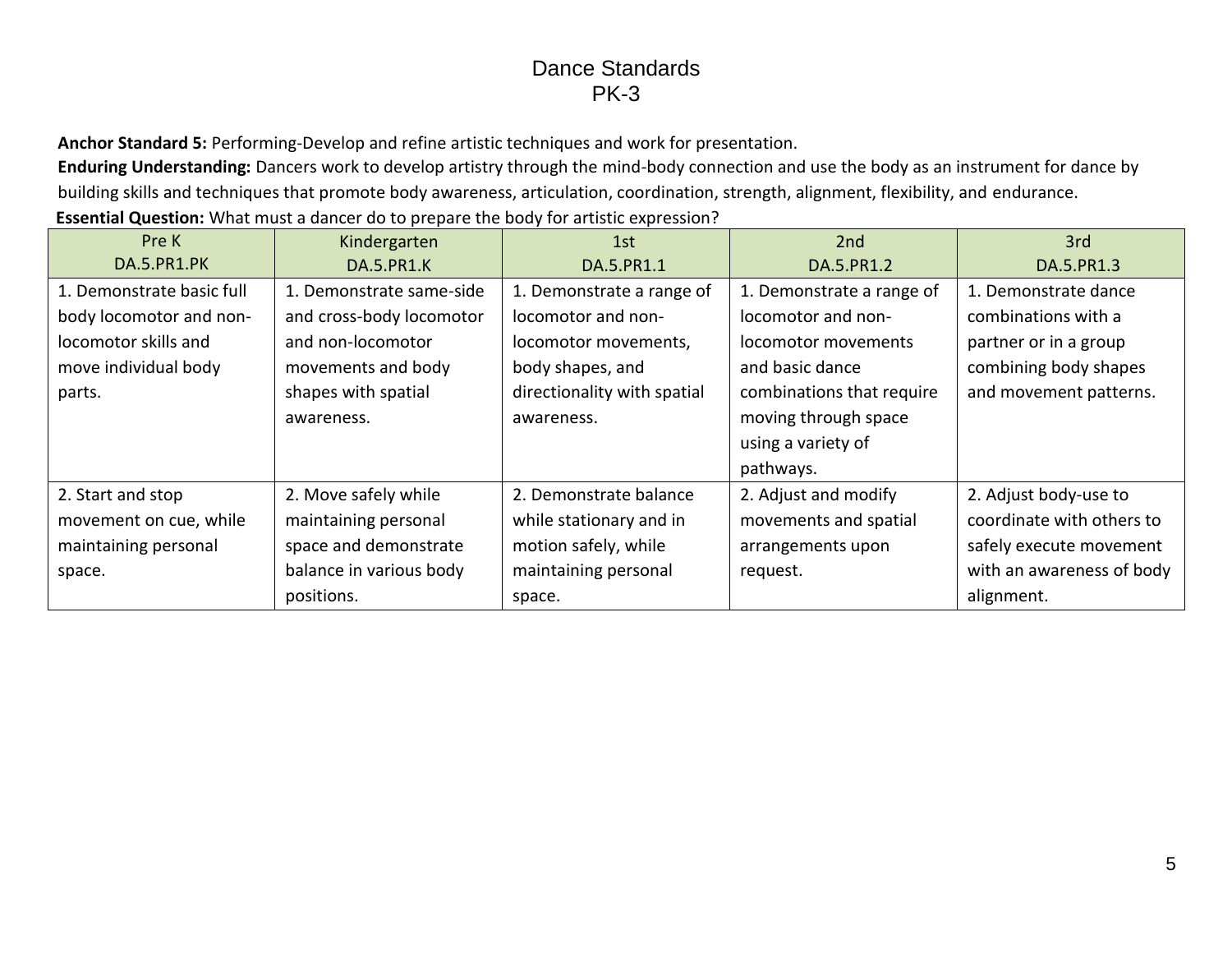**Anchor Standard 5:** Performing-Develop and refine artistic techniques and work for presentation.

**Enduring Understanding:** Dancers work to develop artistry through the mind-body connection and use the body as an instrument for dance by building skills and techniques that promote body awareness, articulation, coordination, strength, alignment, flexibility, and endurance. **Essential Question:** What must a dancer do to prepare the body for artistic expression?

| Pre K                     | Kindergarten             | 1st                         | 2nd                       | 3rd                       |
|---------------------------|--------------------------|-----------------------------|---------------------------|---------------------------|
| DA.5.PR1.PK               | <b>DA.5.PR1.K</b>        | DA.5.PR1.1                  | DA.5.PR1.2                | DA.5.PR1.3                |
| 1. Demonstrate basic full | 1. Demonstrate same-side | 1. Demonstrate a range of   | 1. Demonstrate a range of | 1. Demonstrate dance      |
| body locomotor and non-   | and cross-body locomotor | locomotor and non-          | locomotor and non-        | combinations with a       |
| locomotor skills and      | and non-locomotor        | locomotor movements,        | locomotor movements       | partner or in a group     |
| move individual body      | movements and body       | body shapes, and            | and basic dance           | combining body shapes     |
| parts.                    | shapes with spatial      | directionality with spatial | combinations that require | and movement patterns.    |
|                           | awareness.               | awareness.                  | moving through space      |                           |
|                           |                          |                             | using a variety of        |                           |
|                           |                          |                             | pathways.                 |                           |
| 2. Start and stop         | 2. Move safely while     | 2. Demonstrate balance      | 2. Adjust and modify      | 2. Adjust body-use to     |
| movement on cue, while    | maintaining personal     | while stationary and in     | movements and spatial     | coordinate with others to |
| maintaining personal      | space and demonstrate    | motion safely, while        | arrangements upon         | safely execute movement   |
| space.                    | balance in various body  | maintaining personal        | request.                  | with an awareness of body |
|                           | positions.               | space.                      |                           | alignment.                |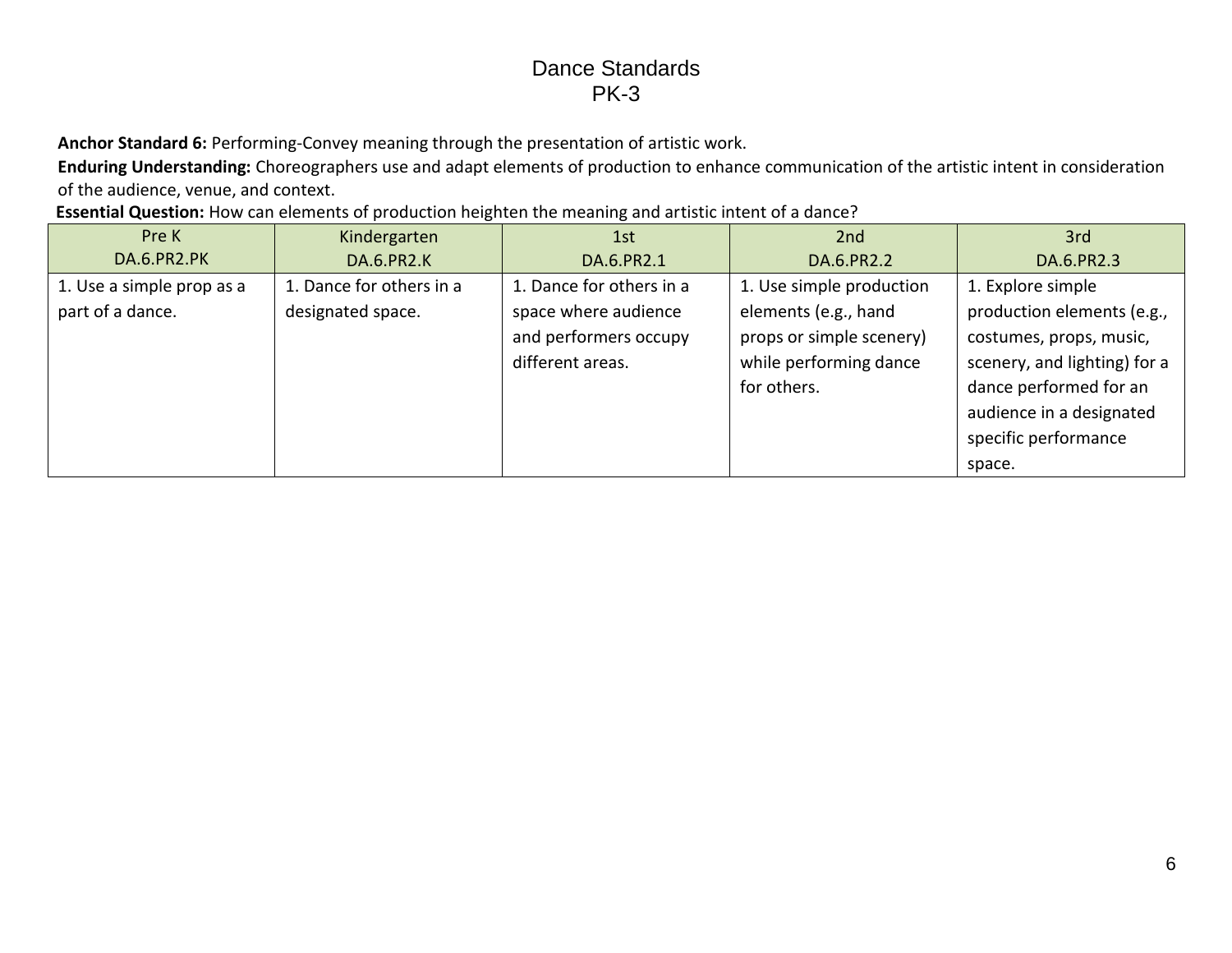**Anchor Standard 6:** Performing-Convey meaning through the presentation of artistic work.

**Enduring Understanding:** Choreographers use and adapt elements of production to enhance communication of the artistic intent in consideration of the audience, venue, and context.

**Essential Question:** How can elements of production heighten the meaning and artistic intent of a dance?

| Pre K                                         | Kindergarten                                  | 1st                                                                                           | 2nd                                                                                                                   | 3rd                                                                                                                                                              |
|-----------------------------------------------|-----------------------------------------------|-----------------------------------------------------------------------------------------------|-----------------------------------------------------------------------------------------------------------------------|------------------------------------------------------------------------------------------------------------------------------------------------------------------|
| DA.6.PR2.PK                                   | <b>DA.6.PR2.K</b>                             | DA.6.PR2.1                                                                                    | DA.6.PR2.2                                                                                                            | DA.6.PR2.3                                                                                                                                                       |
| 1. Use a simple prop as a<br>part of a dance. | 1. Dance for others in a<br>designated space. | 1. Dance for others in a<br>space where audience<br>and performers occupy<br>different areas. | 1. Use simple production<br>elements (e.g., hand<br>props or simple scenery)<br>while performing dance<br>for others. | 1. Explore simple<br>production elements (e.g.,<br>costumes, props, music,<br>scenery, and lighting) for a<br>dance performed for an<br>audience in a designated |
|                                               |                                               |                                                                                               |                                                                                                                       | specific performance<br>space.                                                                                                                                   |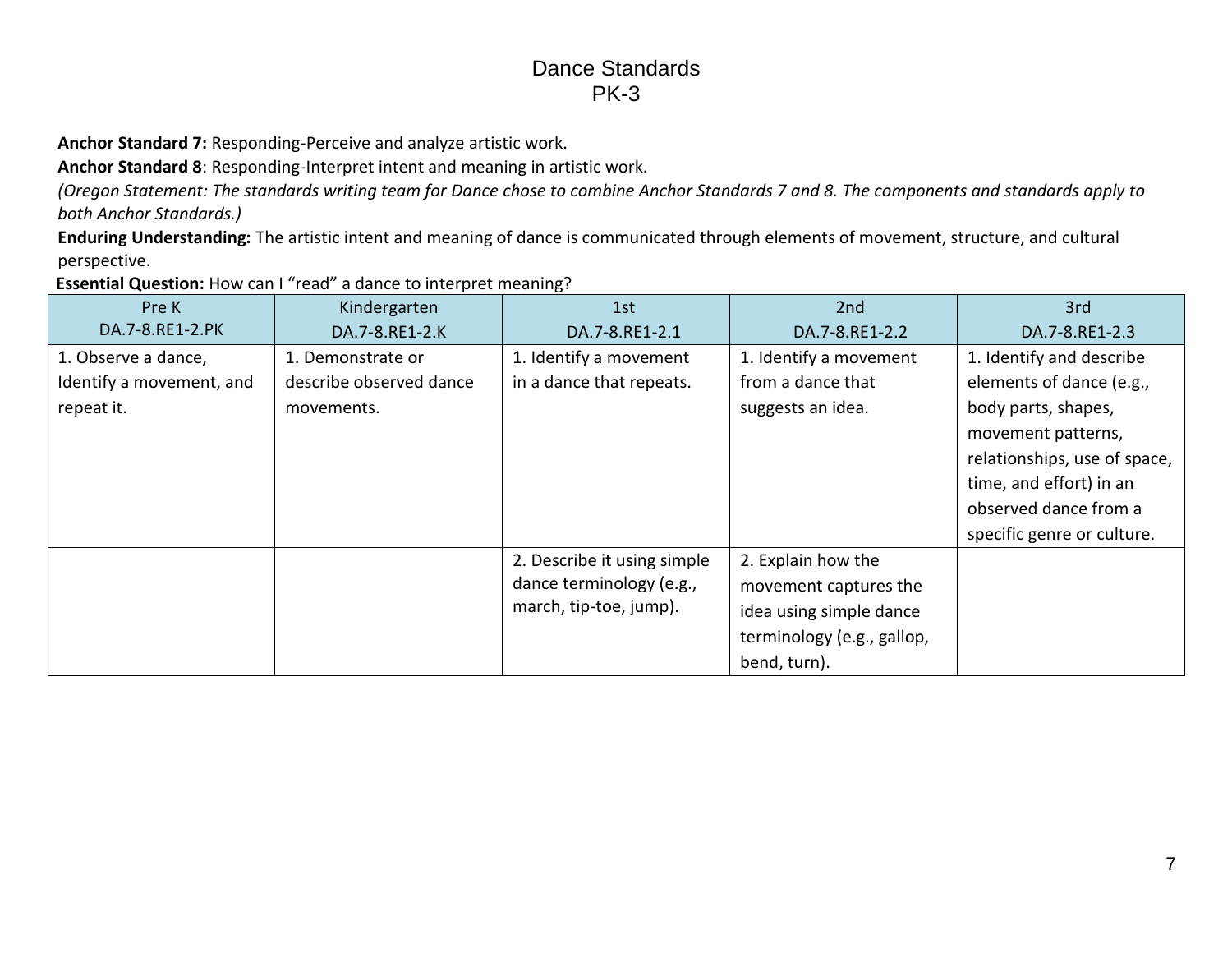**Anchor Standard 7:** Responding-Perceive and analyze artistic work.

**Anchor Standard 8**: Responding-Interpret intent and meaning in artistic work.

*(Oregon Statement: The standards writing team for Dance chose to combine Anchor Standards 7 and 8. The components and standards apply to both Anchor Standards.)*

**Enduring Understanding:** The artistic intent and meaning of dance is communicated through elements of movement, structure, and cultural perspective.

**Essential Question:** How can I "read" a dance to interpret meaning?

| Pre K                    | Kindergarten            | 1st                         | 2nd                        | 3rd                          |
|--------------------------|-------------------------|-----------------------------|----------------------------|------------------------------|
| DA.7-8.RE1-2.PK          | DA.7-8.RE1-2.K          | DA.7-8.RE1-2.1              | DA.7-8.RE1-2.2             | DA.7-8.RE1-2.3               |
| 1. Observe a dance,      | 1. Demonstrate or       | 1. Identify a movement      | 1. Identify a movement     | 1. Identify and describe     |
| Identify a movement, and | describe observed dance | in a dance that repeats.    | from a dance that          | elements of dance (e.g.,     |
| repeat it.               | movements.              |                             | suggests an idea.          | body parts, shapes,          |
|                          |                         |                             |                            | movement patterns,           |
|                          |                         |                             |                            | relationships, use of space, |
|                          |                         |                             |                            | time, and effort) in an      |
|                          |                         |                             |                            | observed dance from a        |
|                          |                         |                             |                            | specific genre or culture.   |
|                          |                         | 2. Describe it using simple | 2. Explain how the         |                              |
|                          |                         | dance terminology (e.g.,    | movement captures the      |                              |
|                          |                         | march, tip-toe, jump).      | idea using simple dance    |                              |
|                          |                         |                             | terminology (e.g., gallop, |                              |
|                          |                         |                             | bend, turn).               |                              |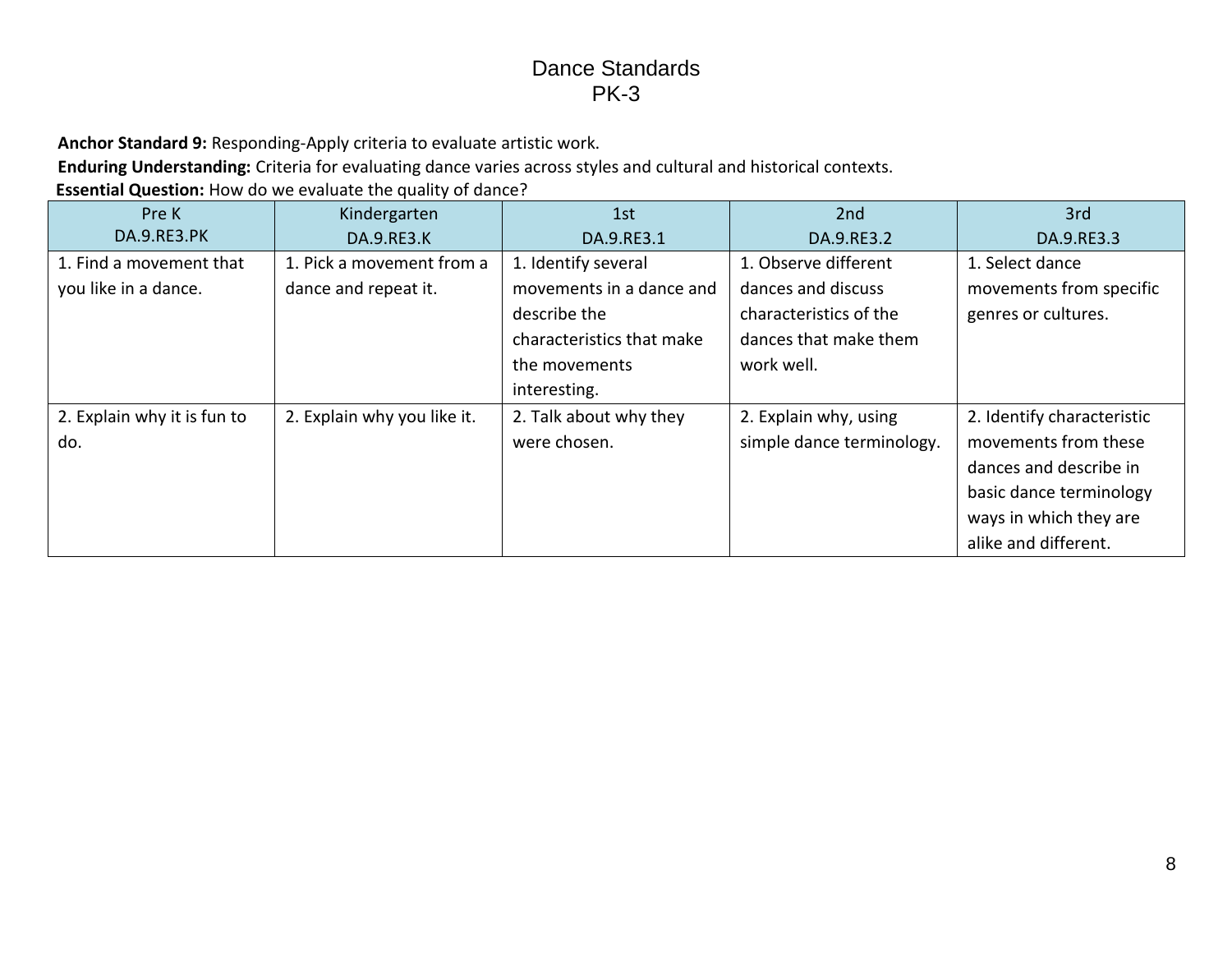**Anchor Standard 9:** Responding-Apply criteria to evaluate artistic work.

**Enduring Understanding:** Criteria for evaluating dance varies across styles and cultural and historical contexts.

**Essential Question:** How do we evaluate the quality of dance?

| Pre K                       | Kindergarten                | 1st                       | 2nd                       | 3rd                        |
|-----------------------------|-----------------------------|---------------------------|---------------------------|----------------------------|
| <b>DA.9.RE3.PK</b>          | <b>DA.9.RE3.K</b>           | DA.9.RE3.1                | DA.9.RE3.2                | DA.9.RE3.3                 |
| 1. Find a movement that     | 1. Pick a movement from a   | 1. Identify several       | 1. Observe different      | 1. Select dance            |
| you like in a dance.        | dance and repeat it.        | movements in a dance and  | dances and discuss        | movements from specific    |
|                             |                             | describe the              | characteristics of the    | genres or cultures.        |
|                             |                             | characteristics that make | dances that make them     |                            |
|                             |                             | the movements             | work well.                |                            |
|                             |                             | interesting.              |                           |                            |
| 2. Explain why it is fun to | 2. Explain why you like it. | 2. Talk about why they    | 2. Explain why, using     | 2. Identify characteristic |
| do.                         |                             | were chosen.              | simple dance terminology. | movements from these       |
|                             |                             |                           |                           | dances and describe in     |
|                             |                             |                           |                           | basic dance terminology    |
|                             |                             |                           |                           | ways in which they are     |
|                             |                             |                           |                           | alike and different.       |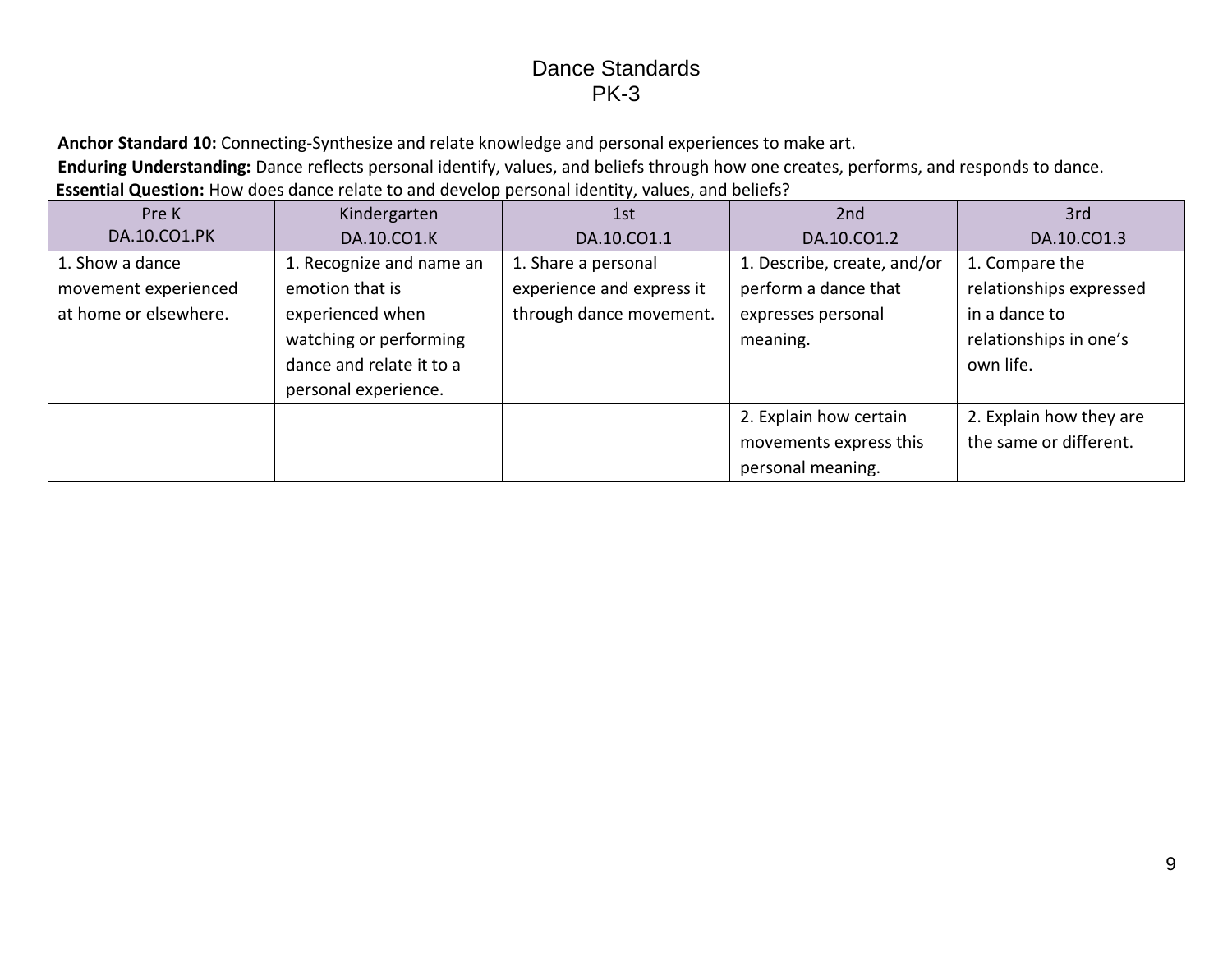**Anchor Standard 10:** Connecting-Synthesize and relate knowledge and personal experiences to make art.

**Enduring Understanding:** Dance reflects personal identify, values, and beliefs through how one creates, performs, and responds to dance.

**Essential Question:** How does dance relate to and develop personal identity, values, and beliefs?

| Pre K                                                            | Kindergarten                                                                                                          | 1st                                                                         | 2nd                                                                                   | 3rd                                                                                               |
|------------------------------------------------------------------|-----------------------------------------------------------------------------------------------------------------------|-----------------------------------------------------------------------------|---------------------------------------------------------------------------------------|---------------------------------------------------------------------------------------------------|
| DA.10.CO1.PK                                                     | DA.10.CO1.K                                                                                                           | DA.10.CO1.1                                                                 | DA.10.CO1.2                                                                           | DA.10.CO1.3                                                                                       |
| 1. Show a dance<br>movement experienced<br>at home or elsewhere. | 1. Recognize and name an<br>emotion that is<br>experienced when<br>watching or performing<br>dance and relate it to a | 1. Share a personal<br>experience and express it<br>through dance movement. | 1. Describe, create, and/or<br>perform a dance that<br>expresses personal<br>meaning. | 1. Compare the<br>relationships expressed<br>in a dance to<br>relationships in one's<br>own life. |
|                                                                  | personal experience.                                                                                                  |                                                                             |                                                                                       | 2. Explain how they are                                                                           |
|                                                                  |                                                                                                                       |                                                                             | 2. Explain how certain<br>movements express this<br>personal meaning.                 | the same or different.                                                                            |